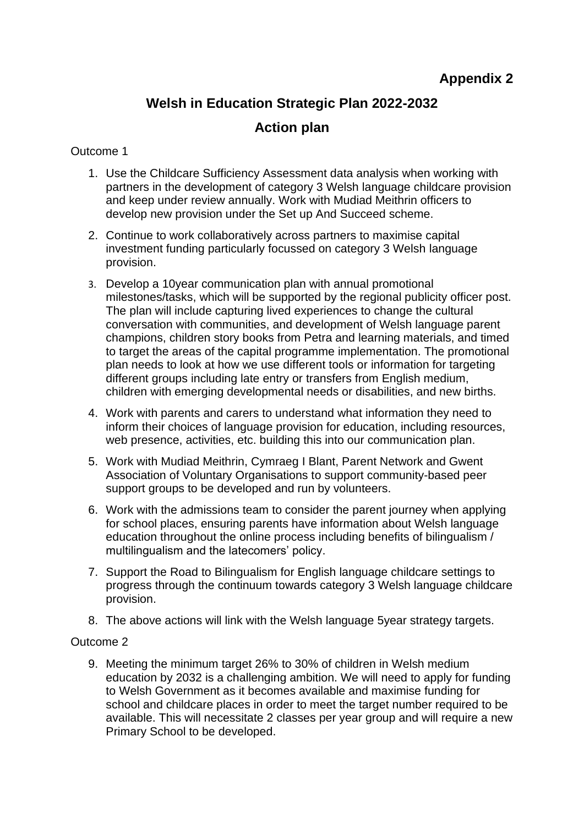# **Welsh in Education Strategic Plan 2022-2032**

# **Action plan**

## Outcome 1

- 1. Use the Childcare Sufficiency Assessment data analysis when working with partners in the development of category 3 Welsh language childcare provision and keep under review annually. Work with Mudiad Meithrin officers to develop new provision under the Set up And Succeed scheme.
- 2. Continue to work collaboratively across partners to maximise capital investment funding particularly focussed on category 3 Welsh language provision.
- 3. Develop a 10year communication plan with annual promotional milestones/tasks, which will be supported by the regional publicity officer post. The plan will include capturing lived experiences to change the cultural conversation with communities, and development of Welsh language parent champions, children story books from Petra and learning materials, and timed to target the areas of the capital programme implementation. The promotional plan needs to look at how we use different tools or information for targeting different groups including late entry or transfers from English medium, children with emerging developmental needs or disabilities, and new births.
- 4. Work with parents and carers to understand what information they need to inform their choices of language provision for education, including resources, web presence, activities, etc. building this into our communication plan.
- 5. Work with Mudiad Meithrin, Cymraeg I Blant, Parent Network and Gwent Association of Voluntary Organisations to support community-based peer support groups to be developed and run by volunteers.
- 6. Work with the admissions team to consider the parent journey when applying for school places, ensuring parents have information about Welsh language education throughout the online process including benefits of bilingualism / multilingualism and the latecomers' policy.
- 7. Support the Road to Bilingualism for English language childcare settings to progress through the continuum towards category 3 Welsh language childcare provision.
- 8. The above actions will link with the Welsh language 5year strategy targets.

## Outcome 2

9. Meeting the minimum target 26% to 30% of children in Welsh medium education by 2032 is a challenging ambition. We will need to apply for funding to Welsh Government as it becomes available and maximise funding for school and childcare places in order to meet the target number required to be available. This will necessitate 2 classes per year group and will require a new Primary School to be developed.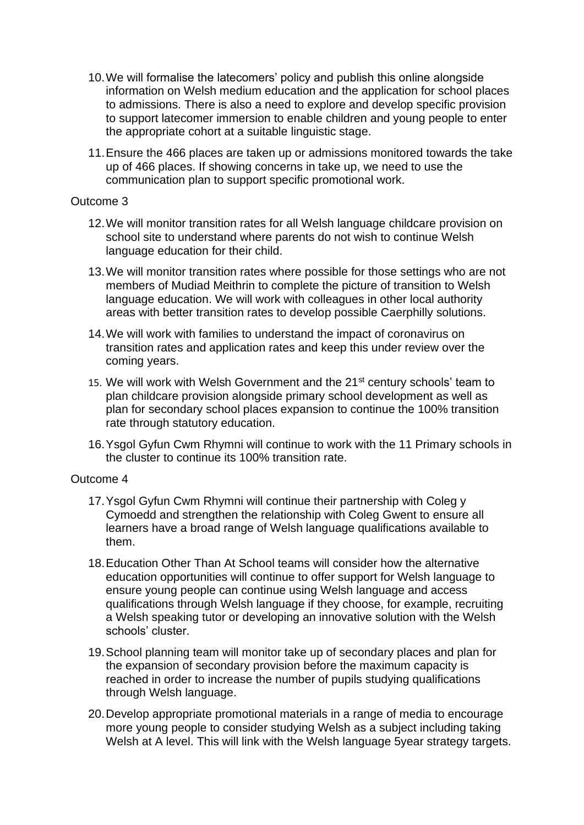- 10.We will formalise the latecomers' policy and publish this online alongside information on Welsh medium education and the application for school places to admissions. There is also a need to explore and develop specific provision to support latecomer immersion to enable children and young people to enter the appropriate cohort at a suitable linguistic stage.
- 11.Ensure the 466 places are taken up or admissions monitored towards the take up of 466 places. If showing concerns in take up, we need to use the communication plan to support specific promotional work.

### Outcome 3

- 12.We will monitor transition rates for all Welsh language childcare provision on school site to understand where parents do not wish to continue Welsh language education for their child.
- 13.We will monitor transition rates where possible for those settings who are not members of Mudiad Meithrin to complete the picture of transition to Welsh language education. We will work with colleagues in other local authority areas with better transition rates to develop possible Caerphilly solutions.
- 14.We will work with families to understand the impact of coronavirus on transition rates and application rates and keep this under review over the coming years.
- 15. We will work with Welsh Government and the 21<sup>st</sup> century schools' team to plan childcare provision alongside primary school development as well as plan for secondary school places expansion to continue the 100% transition rate through statutory education.
- 16.Ysgol Gyfun Cwm Rhymni will continue to work with the 11 Primary schools in the cluster to continue its 100% transition rate.

#### Outcome 4

- 17.Ysgol Gyfun Cwm Rhymni will continue their partnership with Coleg y Cymoedd and strengthen the relationship with Coleg Gwent to ensure all learners have a broad range of Welsh language qualifications available to them.
- 18.Education Other Than At School teams will consider how the alternative education opportunities will continue to offer support for Welsh language to ensure young people can continue using Welsh language and access qualifications through Welsh language if they choose, for example, recruiting a Welsh speaking tutor or developing an innovative solution with the Welsh schools' cluster.
- 19.School planning team will monitor take up of secondary places and plan for the expansion of secondary provision before the maximum capacity is reached in order to increase the number of pupils studying qualifications through Welsh language.
- 20.Develop appropriate promotional materials in a range of media to encourage more young people to consider studying Welsh as a subject including taking Welsh at A level. This will link with the Welsh language 5year strategy targets.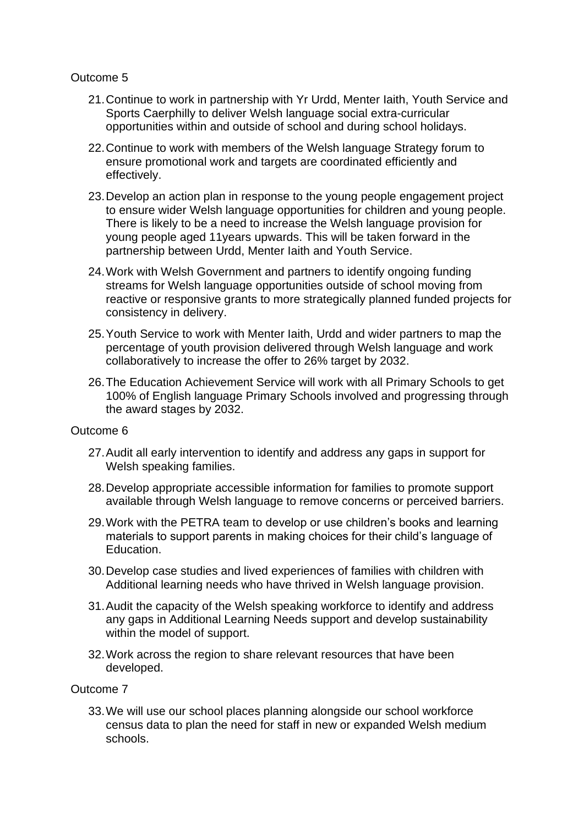### Outcome 5

- 21.Continue to work in partnership with Yr Urdd, Menter Iaith, Youth Service and Sports Caerphilly to deliver Welsh language social extra-curricular opportunities within and outside of school and during school holidays.
- 22.Continue to work with members of the Welsh language Strategy forum to ensure promotional work and targets are coordinated efficiently and effectively.
- 23.Develop an action plan in response to the young people engagement project to ensure wider Welsh language opportunities for children and young people. There is likely to be a need to increase the Welsh language provision for young people aged 11years upwards. This will be taken forward in the partnership between Urdd, Menter Iaith and Youth Service.
- 24.Work with Welsh Government and partners to identify ongoing funding streams for Welsh language opportunities outside of school moving from reactive or responsive grants to more strategically planned funded projects for consistency in delivery.
- 25.Youth Service to work with Menter Iaith, Urdd and wider partners to map the percentage of youth provision delivered through Welsh language and work collaboratively to increase the offer to 26% target by 2032.
- 26.The Education Achievement Service will work with all Primary Schools to get 100% of English language Primary Schools involved and progressing through the award stages by 2032.

#### Outcome 6

- 27.Audit all early intervention to identify and address any gaps in support for Welsh speaking families.
- 28.Develop appropriate accessible information for families to promote support available through Welsh language to remove concerns or perceived barriers.
- 29.Work with the PETRA team to develop or use children's books and learning materials to support parents in making choices for their child's language of Education.
- 30.Develop case studies and lived experiences of families with children with Additional learning needs who have thrived in Welsh language provision.
- 31.Audit the capacity of the Welsh speaking workforce to identify and address any gaps in Additional Learning Needs support and develop sustainability within the model of support.
- 32.Work across the region to share relevant resources that have been developed.

### Outcome 7

33.We will use our school places planning alongside our school workforce census data to plan the need for staff in new or expanded Welsh medium schools.